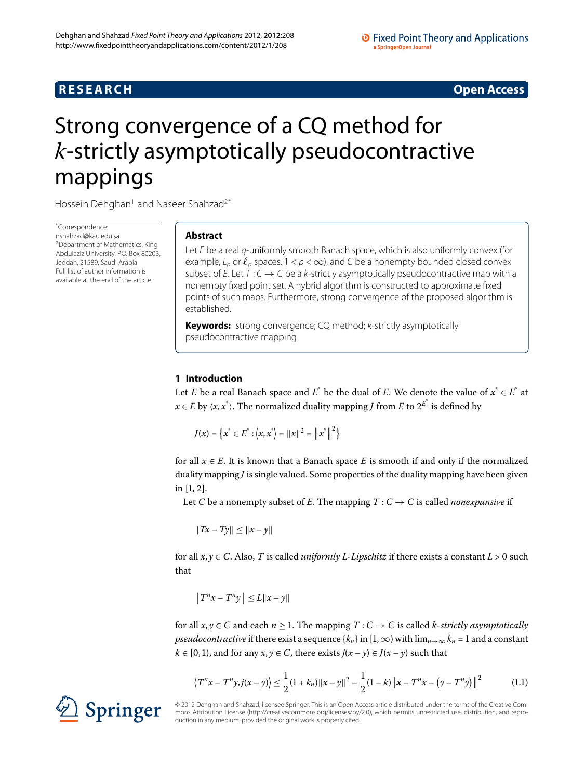# **R E S E A R C H Open Access**

# <span id="page-0-0"></span>Strong convergence of a CQ method for *k*-strictly asymptotically pseudocontractive mappings

Hossein Dehghan<sup>[1](#page-5-0)</sup> and Naseer Shahzad<sup>[2](#page-5-1)[\\*](#page-0-0)</sup>

\* Correspondence: [nshahzad@kau.edu.sa](mailto:nshahzad@kau.edu.sa) <sup>2</sup> Department of Mathematics, King Abdulaziz University, P.O. Box 80203, Jeddah, 21589, Saudi Arabia Full list of author information is available at the end of the article

# **Abstract**

Let E be a real q-uniformly smooth Banach space, which is also uniformly convex (for example,  $L_p$  or  $\ell_p$  spaces, 1 <  $p$  <  $\infty$ ), and C be a nonempty bounded closed convex subset of E. Let  $T: C \rightarrow C$  be a k-strictly asymptotically pseudocontractive map with a nonempty fixed point set. A hybrid algorithm is constructed to approximate fixed points of such maps. Furthermore, strong convergence of the proposed algorithm is established.

**Keywords:** strong convergence; CQ method; k-strictly asymptotically pseudocontractive mapping

# **1 Introduction**

Let *E* be a real Banach space and  $E^*$  be the dual of *E*. We denote the value of  $x^* \in E^*$  at  $x \in E$  by  $\langle x, x^* \rangle$ . The normalized duality mapping *J* from *E* to  $2^{E^*}$  is defined by

$$
J(x) = \left\{ x^* \in E^* : \left\langle x, x^* \right\rangle = ||x||^2 = ||x^*||^2 \right\}
$$

for all  $x \in E$ . It is known that a Banach space *E* is smooth if and only if the normalized duality mapping *J* is single valued. Some properties of the duality mapping have been given in  $[1, 2]$  $[1, 2]$ .

Let *C* be a nonempty subset of *E*. The mapping  $T: C \rightarrow C$  is called *nonexpansive* if

 $||Tx - Ty|| \le ||x - y||$ 

for all  $x, y \in C$ . Also, *T* is called *uniformly L-Lipschitz* if there exists a constant  $L > 0$  such that

<span id="page-0-1"></span>
$$
\left\|T^{n}x - T^{n}y\right\| \le L\|x - y\|
$$

for all  $x, y \in C$  and each  $n \ge 1$ . The mapping  $T : C \to C$  is called *k*-*strictly asymptotically pseudocontractive* if there exist a sequence  $\{k_n\}$  in  $[1, \infty)$  with  $\lim_{n\to\infty} k_n = 1$  and a constant *k* ∈ [0, 1), and for any *x*, *y* ∈ *C*, there exists *j*(*x* − *y*) ∈ *J*(*x* − *y*) such that

$$
\left\langle T^{n}x - T^{n}y, j(x - y) \right\rangle \leq \frac{1}{2} (1 + k_{n}) \|x - y\|^{2} - \frac{1}{2} (1 - k) \|x - T^{n}x - (y - T^{n}y)\|^{2}
$$
(1.1)

© 2012 Dehghan and Shahzad; licensee Springer. This is an Open Access article distributed under the terms of the Creative Commons Attribution License (<http://creativecommons.org/licenses/by/2.0>), which permits unrestricted use, distribution, and reproduction in any medium, provided the original work is properly cited.

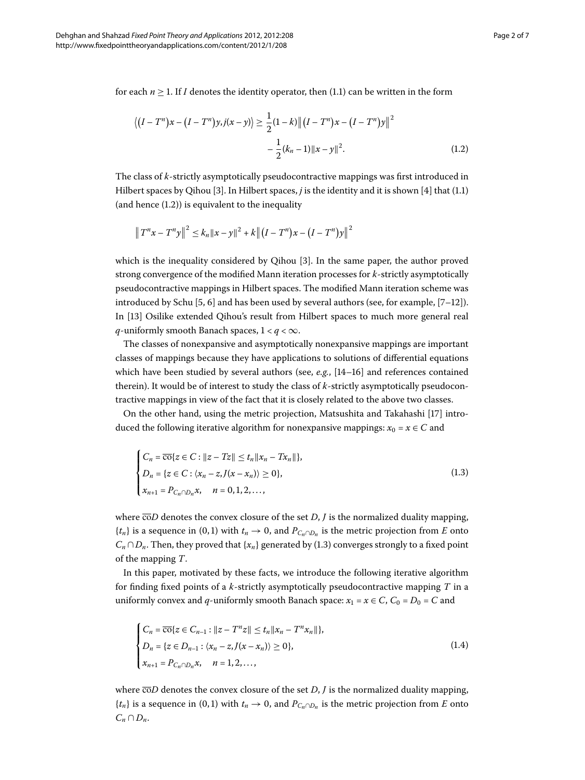<span id="page-1-0"></span>for each  $n \geq 1$ [.](#page-0-1) If *I* denotes the identity operator, then (1.1) can be written in the form

$$
\langle (I - T^n)x - (I - T^n)y, j(x - y) \rangle \ge \frac{1}{2}(1 - k) ||(I - T^n)x - (I - T^n)y||^2
$$

$$
- \frac{1}{2}(k_n - 1) ||x - y||^2.
$$
(1.2)

The class of *k*-strictly asymptotically pseudocontractive mappings was first introduced in Hilbert spaces by Qihou [3[\]](#page-6-2)[.](#page-0-1) In Hilbert spaces,  $j$  is the identity and it is shown [4] that (1.1) (and hence  $(1.2)$  $(1.2)$  $(1.2)$ ) is equivalent to the inequality

$$
\|T^{n}x - T^{n}y\|^{2} \leq k_{n} \|x - y\|^{2} + k \|(I - T^{n})x - (I - T^{n})y\|^{2}
$$

which is the inequality considered by Qihou [\[](#page-6-2)3]. In the same paper, the author proved strong convergence of the modified Mann iteration processes for *k*-strictly asymptotically pseudocontractive mappings in Hilbert spaces. The modified Mann iteration scheme was introduced by Schu  $[5, 6]$  $[5, 6]$  $[5, 6]$  $[5, 6]$  and has been used by several authors (see, for example,  $[7-12]$ ). In [13[\]](#page-6-8) Osilike extended Qihou's result from Hilbert spaces to much more general real *q*-uniformly smooth Banach spaces,  $1 < q < \infty$ .

The classes of nonexpansive and asymptotically nonexpansive mappings are important classes of mappings because they have applications to solutions of differential equations which have been studied by several authors (see,  $e.g.,$   $[14–16]$  $[14–16]$  and references contained therein). It would be of interest to study the class of *k*-strictly asymptotically pseudocontractive mappings in view of the fact that it is closely related to the above two classes.

On the other hand, using the metric projection, Matsushita and Takahashi [17[\]](#page-6-11) introduced the following iterative algorithm for nonexpansive mappings:  $x_0 = x \in C$  and

<span id="page-1-1"></span>
$$
\begin{cases}\nC_n = \overline{\cos}\{z \in C : ||z - Tz|| \le t_n ||x_n - Tx_n||\}, \\
D_n = \{z \in C : \langle x_n - z, J(x - x_n) \rangle \ge 0\}, \\
x_{n+1} = P_{C_n \cap D_n} x, \quad n = 0, 1, 2, \dots,\n\end{cases}
$$
\n(1.3)

where  $\overline{co}D$  denotes the convex closure of the set *D*, *J* is the normalized duality mapping,  ${t_n}$  is a sequence in (0,1) with  $t_n \to 0$ , and  $P_{C_n \cap D_n}$  is the metric projection from *E* onto  $C_n \cap D_n$ [.](#page-1-1) Then, they proved that  $\{x_n\}$  generated by (1.3) converges strongly to a fixed point of the mapping *T*.

In this paper, motivated by these facts, we introduce the following iterative algorithm for finding fixed points of a *k*-strictly asymptotically pseudocontractive mapping *T* in a uniformly convex and *q*-uniformly smooth Banach space:  $x_1 = x \in C$ ,  $C_0 = D_0 = C$  and

<span id="page-1-2"></span>
$$
\begin{cases}\nC_n = \overline{\cos}\{z \in C_{n-1} : ||z - T^n z|| \le t_n ||x_n - T^n x_n||\}, \\
D_n = \{z \in D_{n-1} : \langle x_n - z, J(x - x_n) \rangle \ge 0\}, \\
x_{n+1} = P_{C_n \cap D_n} x, \quad n = 1, 2, ..., \n\end{cases}
$$
\n(1.4)

where  $\overline{co}D$  denotes the convex closure of the set  $D$ ,  $J$  is the normalized duality mapping,  ${t_n}$  is a sequence in (0,1) with  $t_n \to 0$ , and  $P_{C_n \cap D_n}$  is the metric projection from *E* onto  $C_n \cap D_n$ .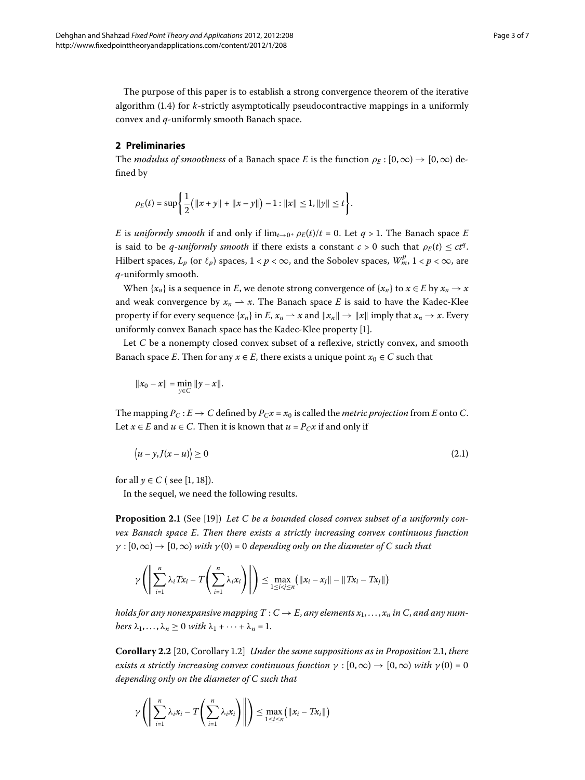The purpose of this paper is to establish a strong convergence theorem of the iterative algorithm  $(1.4)$  $(1.4)$  $(1.4)$  for *k*-strictly asymptotically pseudocontractive mappings in a uniformly convex and *q*-uniformly smooth Banach space.

## **2 Preliminaries**

The *modulus of smoothness* of a Banach space *E* is the function  $\rho_E : [0, \infty) \to [0, \infty)$  defined by

$$
\rho_E(t) = \sup \left\{ \frac{1}{2} \left( \|x + y\| + \|x - y\| \right) - 1 : \|x\| \le 1, \|y\| \le t \right\}.
$$

*E* is *uniformly smooth* if and only if  $\lim_{t\to 0^+} \rho_F(t)/t = 0$ . Let  $q > 1$ . The Banach space *E* is said to be *q*-*uniformly smooth* if there exists a constant  $c > 0$  such that  $\rho_E(t) \le ct^q$ . Hilbert spaces,  $L_p$  (or  $\ell_p$ ) spaces,  $1 < p < \infty$ , and the Sobolev spaces,  $W^p_m$ ,  $1 < p < \infty$ , are *q*-uniformly smooth.

When  $\{x_n\}$  is a sequence in *E*, we denote strong convergence of  $\{x_n\}$  to  $x \in E$  by  $x_n \to x$ and weak convergence by  $x_n \rightharpoonup x$ . The Banach space *E* is said to have the Kadec-Klee property if for every sequence  $\{x_n\}$  in *E*,  $x_n \to x$  and  $\|x_n\| \to \|x\|$  imply that  $x_n \to x$ . Every uniformly convex Banach space has the Kadec-Klee property [\[\]](#page-6-0).

Let *C* be a nonempty closed convex subset of a reflexive, strictly convex, and smooth Banach space *E*. Then for any  $x \in E$ , there exists a unique point  $x_0 \in C$  such that

$$
||x_0 - x|| = \min_{y \in C} ||y - x||.
$$

The mapping  $P_C : E \to C$  defined by  $P_Cx = x_0$  is called the *metric projection* from *E* onto *C*. Let  $x \in E$  and  $u \in C$ . Then it is known that  $u = P_C x$  if and only if

<span id="page-2-0"></span>
$$
\langle u - y, J(x - u) \rangle \ge 0 \tag{2.1}
$$

for all  $\gamma \in C$  ( see [\[](#page-6-0)1, 18[\]](#page-6-12)).

In the sequel, we need the following results.

**Proposition 2.1** (See [\[](#page-6-13)19]) Let C be a bounded closed convex subset of a uniformly con*vex Banach space E*. *Then there exists a strictly increasing convex continuous function*  $\gamma$  :  $[0,\infty) \rightarrow [0,\infty)$  *with*  $\gamma$  (0) = 0 *depending only on the diameter of C such that* 

<span id="page-2-1"></span>
$$
\gamma\left(\left\|\sum_{i=1}^n \lambda_i Tx_i - T\left(\sum_{i=1}^n \lambda_i x_i\right)\right\|\right) \le \max_{1 \le i < j \le n} \left(\|x_i - x_j\| - \|Tx_i - Tx_j\|\right)
$$

*holds for any nonexpansive mapping*  $T: C \to E$ , *any elements*  $x_1, \ldots, x_n$  *in* C, *and any numbers*  $\lambda_1, \ldots, \lambda_n \geq 0$  *with*  $\lambda_1 + \cdots + \lambda_n = 1$ .

**Corollary 2.2** [20, Corollary 1.2] *Under the same suppositions as in Proposition* 2.1, *there exists a strictly increasing convex continuous function*  $\gamma : [0, \infty) \to [0, \infty)$  *with*  $\gamma(0) = 0$ *depending only on the diameter of C such that*

$$
\gamma\left(\left\|\sum_{i=1}^n \lambda_i x_i - T\left(\sum_{i=1}^n \lambda_i x_i\right)\right\|\right) \leq \max_{1 \leq i \leq n} \left(\|x_i - Tx_i\|\right)
$$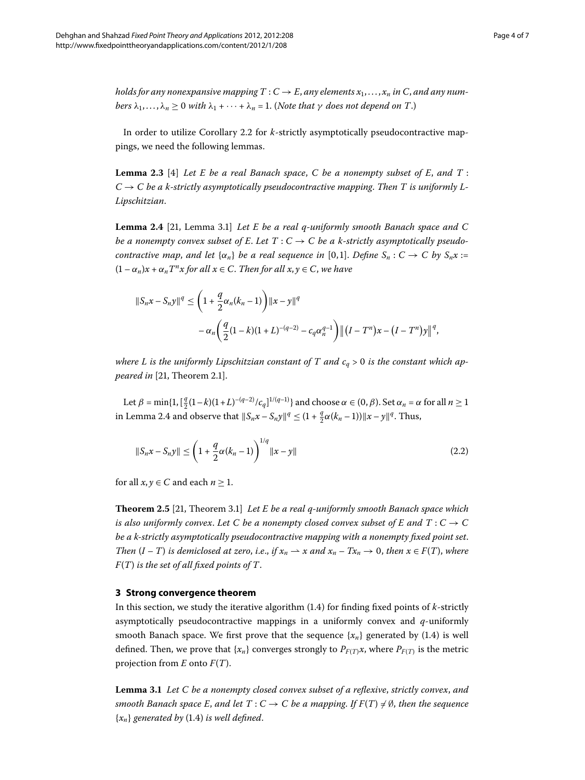<span id="page-3-1"></span>*holds for any nonexpansive mapping*  $T: C \to E$ , *any elements*  $x_1, \ldots, x_n$  *in* C, *and any numbers*  $\lambda_1, \ldots, \lambda_n \geq 0$  *with*  $\lambda_1 + \cdots + \lambda_n = 1$ . (*Note that*  $\gamma$  *does not depend on*  $T$ .)

<span id="page-3-0"></span>In order to utilize Corollary 2[.](#page-2-1)2 for *k*-strictly asymptotically pseudocontractive mappings, we need the following lemmas.

Lemma 2.3 [4[\]](#page-6-3) Let E be a real Banach space, C be a nonempty subset of E, and T :  $C \rightarrow C$  be a k-strictly asymptotically pseudocontractive mapping. Then T is uniformly L-*Lipschitzian*.

**Lemma 2.4** [\[](#page-6-15)21, Lemma 3.1] *Let E be a real q-uniformly smooth Banach space and C be a nonempty convex subset of E. Let*  $T: C \to C$  *be a k-strictly asymptotically pseudocontractive map, and let*  $\{\alpha_n\}$  *be a real sequence in* [0,1]. *Define*  $S_n : C \to C$  *by*  $S_n x :=$  $(1 - \alpha_n)x + \alpha_n T^n x$  for all  $x \in C$ . Then for all  $x, y \in C$ , we have

<span id="page-3-2"></span>
$$
||S_n x - S_n y||^q \le \left(1 + \frac{q}{2}\alpha_n(k_n - 1)\right) ||x - y||^q
$$
  
-  $\alpha_n \left(\frac{q}{2}(1 - k)(1 + L)^{-(q-2)} - c_q \alpha_n^{q-1}\right) ||(I - T^n)x - (I - T^n)y||^q,$ 

where L is the uniformly Lipschitzian constant of T and  $c_q > 0$  is the constant which ap*peared in* [\[](#page-6-15)21, Theorem 2.1].

Let *β* = min{1,  $\left[\frac{q}{2}(1-k)(1+L)^{-(q-2)}/c_q\right]^{1/(q-1)}$ } and choose *α* ∈ (0, *β*). Set *α<sub>n</sub>* = *α* for all *n* ≥ 1 in Lemma 2[.](#page-3-0)4 and observe that  $||S_nx - S_ny||^q \leq (1 + \frac{q}{2}\alpha(k_n - 1)) ||x - y||^q$ . Thus,

<span id="page-3-3"></span>
$$
||S_n x - S_n y|| \le \left(1 + \frac{q}{2}\alpha(k_n - 1)\right)^{1/q} ||x - y|| \tag{2.2}
$$

for all  $x, y \in C$  and each  $n \geq 1$ .

**Theorem 2.5** [21[,](#page-6-15) Theorem 3.1] *Let E be a real q-uniformly smooth Banach space which is also uniformly convex. Let C be a nonempty closed convex subset of E and T* :  $C \rightarrow C$ *be a k-strictly asymptotically pseudocontractive mapping with a nonempty fixed point set*. *Then*  $(I - T)$  *is demiclosed at zero, i.e., if*  $x_n \rightharpoonup x$  *and*  $x_n - Tx_n \rightharpoonup 0$ *, then*  $x \in F(T)$ *, where F*(*T*) *is the set of all fixed points of T*.

### **3 Strong convergence theorem**

In this section, we study the iterative algorithm  $(1.4)$  for finding fixed points of  $k$ -strictly asymptotically pseudocontractive mappings in a uniformly convex and *q*-uniformly smooth Banach space[.](#page-1-2) We first prove that the sequence  $\{x_n\}$  generated by (1.4) is well defined. Then, we prove that  $\{x_n\}$  converges strongly to  $P_{F(T)}x$ , where  $P_{F(T)}$  is the metric projection from *E* onto *F*(*T*).

**Lemma .** *Let C be a nonempty closed convex subset of a reflexive*, *strictly convex*, *and smooth Banach space E, and let*  $T: C \to C$  *be a mapping. If*  $F(T) \neq \emptyset$ , *then the sequence*  ${x_n}$  *generated by* (1.4) *is well defined.*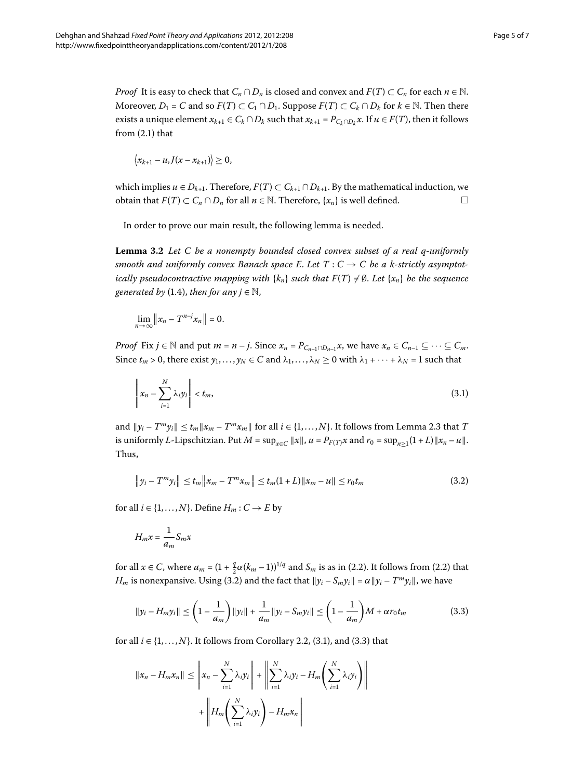*Proof* It is easy to check that  $C_n \cap D_n$  is closed and convex and  $F(T) \subset C_n$  for each  $n \in \mathbb{N}$ . Moreover,  $D_1 = C$  and so  $F(T) \subset C_1 \cap D_1$ . Suppose  $F(T) \subset C_k \cap D_k$  for  $k \in \mathbb{N}$ . Then there exists a unique element  $x_{k+1} \in C_k \cap D_k$  such that  $x_{k+1} = P_{C_k \cap D_k} x$ . If  $u \in F(T)$ , then it follows from  $(2.1)$  that

$$
\langle x_{k+1}-u, J(x-x_{k+1})\rangle\geq 0,
$$

<span id="page-4-3"></span>which implies *u* ∈ *D*<sub>*k*+1</sub>. Therefore,  $F(T)$  ⊂  $C_{k+1} \cap D_{k+1}$ . By the mathematical induction, we obtain that  $F(T) \subset C_n \cap D_n$  for all  $n \in \mathbb{N}$ . Therefore,  $\{x_n\}$  is well defined.  $\Box$ 

In order to prove our main result, the following lemma is needed.

**Lemma 3.2** Let C be a nonempty bounded closed convex subset of a real q-uniformly *smooth and uniformly convex Banach space E. Let*  $T: C \rightarrow C$  *be a k-strictly asymptotically pseudocontractive mapping with*  $\{k_n\}$  *such that*  $F(T) \neq \emptyset$ . Let  $\{x_n\}$  be the sequence *generated by* (1[.](#page-1-2)4), *then for any*  $j \in \mathbb{N}$ ,

<span id="page-4-1"></span>
$$
\lim_{n\to\infty}\|x_n-T^{n-j}x_n\|=0.
$$

*Proof* Fix *j* ∈ N and put *m* = *n* – *j*. Since  $x_n = P_{C_{n-1} \cap D_{n-1}} x$ , we have  $x_n \in C_{n-1} \subseteq \cdots \subseteq C_m$ . Since  $t_m > 0$ , there exist  $y_1, \ldots, y_N \in C$  and  $\lambda_1, \ldots, \lambda_N \ge 0$  with  $\lambda_1 + \cdots + \lambda_N = 1$  such that

<span id="page-4-0"></span>
$$
\left\|x_n - \sum_{i=1}^N \lambda_i y_i\right\| < t_m,\tag{3.1}
$$

and  $||y_i - T^m y_i|| \le t_m ||x_m - T^m x_m||$  for all  $i \in \{1, ..., N\}$  $i \in \{1, ..., N\}$  $i \in \{1, ..., N\}$ . It follows from Lemma 2.3 that *T* is uniformly *L*-Lipschitzian. Put  $M = \sup_{x \in C} ||x||$ ,  $u = P_{F(T)}x$  and  $r_0 = \sup_{n \ge 1} (1 + L) ||x_n - u||$ . Thus,

$$
||y_i - T^m y_i|| \le t_m ||x_m - T^m x_m|| \le t_m (1 + L) ||x_m - u|| \le r_0 t_m
$$
\n(3.2)

for all  $i \in \{1, ..., N\}$ . Define  $H_m : C \to E$  by

<span id="page-4-2"></span>
$$
H_m x = \frac{1}{a_m} S_m x
$$

for all  $x \in C$ , where  $a_m = (1 + \frac{q}{2}\alpha(k_m - 1))^{1/q}$  and  $S_m$  is as in (2[.](#page-3-2)2). It follows from (2.2) that *H<sub>m</sub>* is nonexpansive. Using (3.2) and the fact that  $||y_i - S_m y_i|| = \alpha ||y_i - T^m y_i||$ , we have

$$
||y_i - H_m y_i|| \le \left(1 - \frac{1}{a_m}\right) ||y_i|| + \frac{1}{a_m} ||y_i - S_m y_i|| \le \left(1 - \frac{1}{a_m}\right) M + \alpha r_0 t_m
$$
\n(3.3)

for all  $i \in \{1, ..., N\}$  $i \in \{1, ..., N\}$  $i \in \{1, ..., N\}$ . It follows from Corollary 2.2, (3.1), and (3.3) that

$$
||x_n - H_m x_n|| \leq \left\| x_n - \sum_{i=1}^N \lambda_i y_i \right\| + \left\| \sum_{i=1}^N \lambda_i y_i - H_m \left( \sum_{i=1}^N \lambda_i y_i \right) \right\|
$$
  
+ 
$$
\left\| H_m \left( \sum_{i=1}^N \lambda_i y_i \right) - H_m x_n \right\|
$$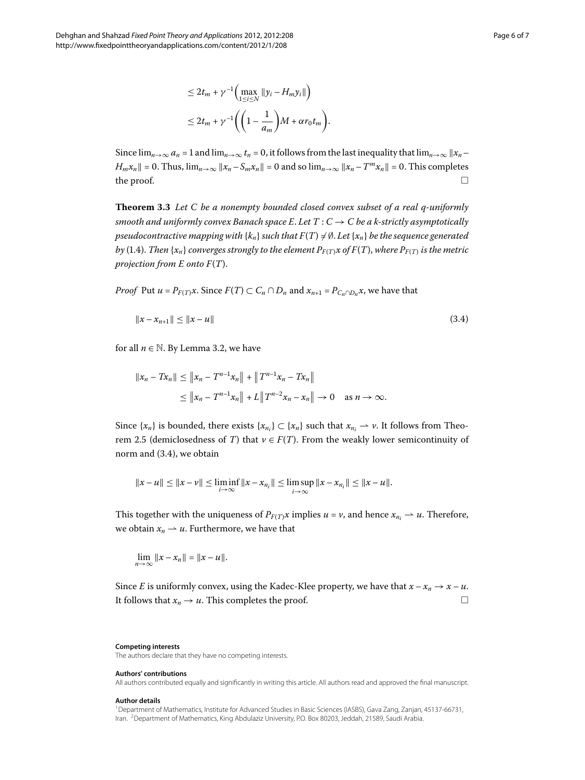Since  $\lim_{n\to\infty} a_n = 1$  and  $\lim_{n\to\infty} t_n = 0$ , it follows from the last inequality that  $\lim_{n\to\infty} ||x_n - x_n||$  $H_m x_n$  = 0. Thus,  $\lim_{n\to\infty} ||x_n - S_m x_n|| = 0$  and so  $\lim_{n\to\infty} ||x_n - T^m x_n|| = 0$ . This completes the proof.  $\Box$ 

**Theorem 3.3** Let C be a nonempty bounded closed convex subset of a real q-uniformly *smooth and uniformly convex Banach space E. Let*  $T: C \rightarrow C$  *be a k-strictly asymptotically pseudocontractive mapping with*  $\{k_n\}$  *such that*  $F(T) \neq \emptyset$ *. Let*  $\{x_n\}$  *be the sequence generated by* (1.4). *Then* { $x_n$ } *converges strongly to the element*  $P_{F(T)}x$  *of*  $F(T)$ *, where*  $P_{F(T)}$  *is the metric projection from E onto F*(*T*).

*Proof* Put  $u = P_{F(T)}x$ . Since  $F(T) \subset C_n \cap D_n$  and  $x_{n+1} = P_{C_n \cap D_n}x$ , we have that

<span id="page-5-2"></span>
$$
||x - x_{n+1}|| \le ||x - u|| \tag{3.4}
$$

for all  $n \in \mathbb{N}$ . By Lemma 3.2, we have

$$
||x_n - Tx_n|| \le ||x_n - T^{n-1}x_n|| + ||T^{n-1}x_n - Tx_n||
$$
  
\n
$$
\le ||x_n - T^{n-1}x_n|| + L||T^{n-2}x_n - x_n|| \to 0 \text{ as } n \to \infty.
$$

Since  $\{x_n\}$  is bounded, there exists  $\{x_{n_i}\} \subset \{x_n\}$  such that  $x_{n_i} \to \nu$ . It follows from Theo-rem 2[.](#page-3-3)5 (demiclosedness of *T*) that  $v \in F(T)$ . From the weakly lower semicontinuity of norm and  $(3.4)$ , we obtain

$$
||x - u|| \le ||x - v|| \le \liminf_{i \to \infty} ||x - x_{n_i}|| \le \limsup_{i \to \infty} ||x - x_{n_i}|| \le ||x - u||.
$$

This together with the uniqueness of  $P_{F(T)}x$  implies  $u = v$ , and hence  $x_{n_i} \rightarrow u$ . Therefore, we obtain  $x_n \rightharpoonup u$ . Furthermore, we have that

$$
\lim_{n\to\infty}||x-x_n||=||x-u||.
$$

Since *E* is uniformly convex, using the Kadec-Klee property, we have that  $x - x_n \rightarrow x - u$ . It follows that  $x_n \to u$ . This completes the proof.  $\Box$ 

#### <span id="page-5-1"></span><span id="page-5-0"></span>**Competing interests**

The authors declare that they have no competing interests.

#### **Authors' contributions**

All authors contributed equally and significantly in writing this article. All authors read and approved the final manuscript.

#### **Author details**

1Department of Mathematics, Institute for Advanced Studies in Basic Sciences (IASBS), Gava Zang, Zanjan, 45137-66731, Iran. 2Department of Mathematics, King Abdulaziz University, P.O. Box 80203, Jeddah, 21589, Saudi Arabia.